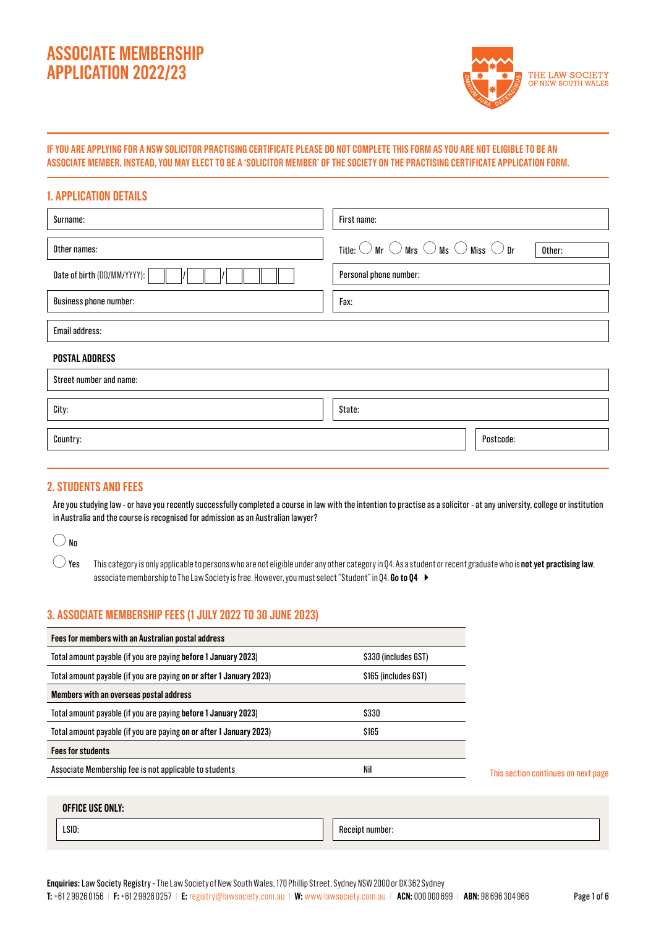# **ASSOCIATE MEMBERSHIP APPLICATION 2022/23**



## **IF YOU ARE APPLYING FOR A NSW SOLICITOR PRACTISING CERTIFICATE PLEASE DO NOT COMPLETE THIS FORM AS YOU ARE NOT ELIGIBLE TO BE AN ASSOCIATE MEMBER. INSTEAD, YOU MAY ELECT TO BE A 'SOLICITOR MEMBER' OF THE SOCIETY ON THE PRACTISING CERTIFICATE APPLICATION FORM.**

## **1. APPLICATION DETAILS**

| Surname:                      | First name:                                                                               |  |  |  |  |  |  |
|-------------------------------|-------------------------------------------------------------------------------------------|--|--|--|--|--|--|
| Other names:                  | Title: $\bigcirc$ Mr $\bigcirc$ Mrs $\bigcirc$ Ms $\bigcirc$ Miss $\bigcirc$ Dr<br>Other: |  |  |  |  |  |  |
| Date of birth (DD/MM/YYYY):   | Personal phone number:                                                                    |  |  |  |  |  |  |
| <b>Business phone number:</b> | Fax:                                                                                      |  |  |  |  |  |  |
| Email address:                |                                                                                           |  |  |  |  |  |  |
| <b>POSTAL ADDRESS</b>         |                                                                                           |  |  |  |  |  |  |
| Street number and name:       |                                                                                           |  |  |  |  |  |  |
| City:                         | State:                                                                                    |  |  |  |  |  |  |
| Country:                      | Postcode:                                                                                 |  |  |  |  |  |  |
|                               |                                                                                           |  |  |  |  |  |  |

## **2. STUDENTS AND FEES**

Are you studying law - or have you recently successfully completed a course in law with the intention to practise as a solicitor - at any university, college or institution in Australia and the course is recognised for admission as an Australian lawyer?

## $\bigcirc$  No

 $\bigcirc$  Yes This category is only applicable to persons who are not eligible under any other category in Q4. As a student or recent graduate who is **not yet practising law**, associate membership to The Law Society is free. However, you must select "Student" in Q4. **Go to Q4**

## **3. ASSOCIATE MEMBERSHIP FEES (1 JULY 2022 TO 30 JUNE 2023)**

| Fees for members with an Australian postal address                                     |                      |  |  |  |  |  |
|----------------------------------------------------------------------------------------|----------------------|--|--|--|--|--|
| Total amount payable (if you are paying before 1 January 2023)<br>\$330 (includes GST) |                      |  |  |  |  |  |
| Total amount payable (if you are paying on or after 1 January 2023)                    | \$165 (includes GST) |  |  |  |  |  |
| Members with an overseas postal address                                                |                      |  |  |  |  |  |
| \$330<br>Total amount payable (if you are paying before 1 January 2023)                |                      |  |  |  |  |  |
| Total amount payable (if you are paying on or after 1 January 2023)                    | \$165                |  |  |  |  |  |
| <b>Fees for students</b>                                                               |                      |  |  |  |  |  |
| Associate Membership fee is not applicable to students                                 | Nil                  |  |  |  |  |  |

This section continues on next page

#### **OFFICE USE ONLY:**

LSID: Receipt number: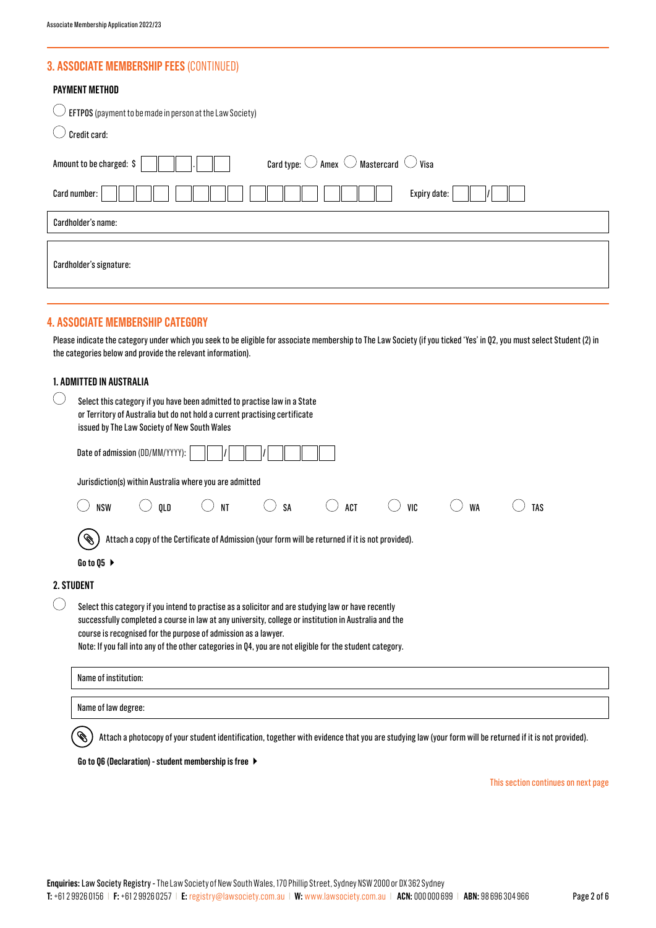## **3. ASSOCIATE MEMBERSHIP FEES** (CONTINUED)

| <b>PAYMENT METHOD</b><br>EFTPOS (payment to be made in person at the Law Society)<br>Credit card:                                                                                                                                                                          |  |  |  |  |
|----------------------------------------------------------------------------------------------------------------------------------------------------------------------------------------------------------------------------------------------------------------------------|--|--|--|--|
| Card type: $\bigcirc$ Amex $\bigcirc$ Mastercard $\bigcirc$ Visa<br>Amount to be charged: \$                                                                                                                                                                               |  |  |  |  |
| Card number:<br>Expiry date:                                                                                                                                                                                                                                               |  |  |  |  |
| Cardholder's name:                                                                                                                                                                                                                                                         |  |  |  |  |
| Cardholder's signature:                                                                                                                                                                                                                                                    |  |  |  |  |
| 4. Associate membership category<br>Please indicate the category under which you seek to be eligible for associate membership to The Law Society (if you ticked 'Yes' in Q2, you must select Student (2) in<br>the categories below and provide the relevant information). |  |  |  |  |

|                                             | 1. Admitted in Australia                                                                                                                                                                                                                                                                                                                                                                   |  |  |  |  |  |
|---------------------------------------------|--------------------------------------------------------------------------------------------------------------------------------------------------------------------------------------------------------------------------------------------------------------------------------------------------------------------------------------------------------------------------------------------|--|--|--|--|--|
|                                             | Select this category if you have been admitted to practise law in a State<br>or Territory of Australia but do not hold a current practising certificate<br>issued by The Law Society of New South Wales                                                                                                                                                                                    |  |  |  |  |  |
|                                             | Date of admission (DD/MM/YYYY):                                                                                                                                                                                                                                                                                                                                                            |  |  |  |  |  |
|                                             | Jurisdiction(s) within Australia where you are admitted                                                                                                                                                                                                                                                                                                                                    |  |  |  |  |  |
|                                             | QLD<br><b>NSW</b><br><b>NT</b><br><b>ACT</b><br>VIC<br><b>WA</b><br><b>SA</b><br><b>TAS</b>                                                                                                                                                                                                                                                                                                |  |  |  |  |  |
|                                             | Attach a copy of the Certificate of Admission (your form will be returned if it is not provided).<br>Ø<br>Go to Q5 $\blacktriangleright$                                                                                                                                                                                                                                                   |  |  |  |  |  |
|                                             |                                                                                                                                                                                                                                                                                                                                                                                            |  |  |  |  |  |
|                                             | 2. STUDENT                                                                                                                                                                                                                                                                                                                                                                                 |  |  |  |  |  |
| $\left(\begin{array}{c} \end{array}\right)$ | Select this category if you intend to practise as a solicitor and are studying law or have recently<br>successfully completed a course in law at any university, college or institution in Australia and the<br>course is recognised for the purpose of admission as a lawyer.<br>Note: If you fall into any of the other categories in Q4, you are not eligible for the student category. |  |  |  |  |  |
|                                             | Name of institution:                                                                                                                                                                                                                                                                                                                                                                       |  |  |  |  |  |
|                                             | Name of law degree:                                                                                                                                                                                                                                                                                                                                                                        |  |  |  |  |  |
|                                             | Attach a photocopy of your student identification, together with evidence that you are studying law (your form will be returned if it is not provided).                                                                                                                                                                                                                                    |  |  |  |  |  |

#### **Go to Q6 (Declaration) - student membership is free**

This section continues on next page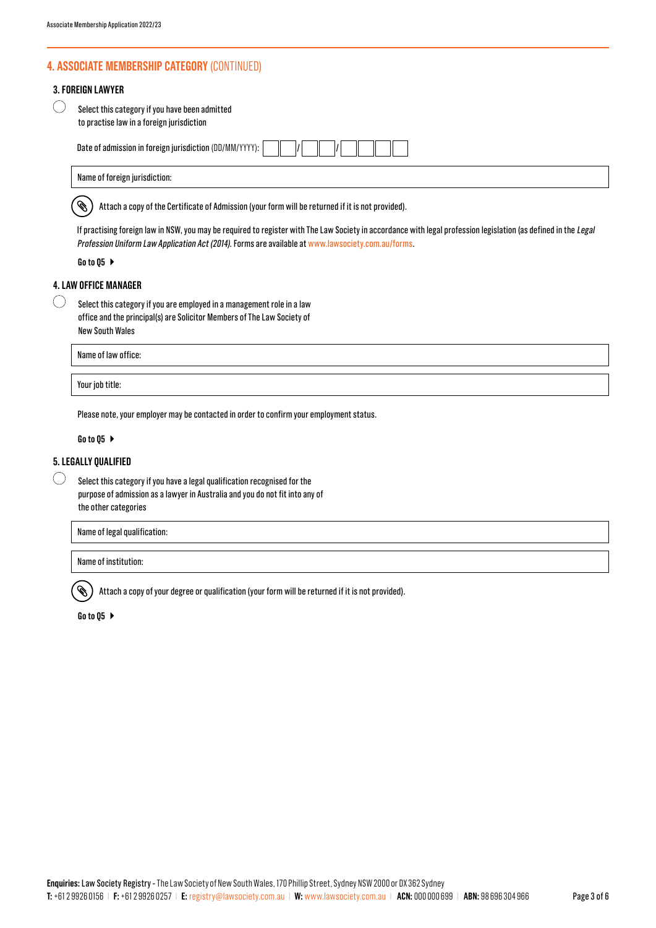## **4. ASSOCIATE MEMBERSHIP CATEGORY** (CONTINUED)

#### **3. FOREIGN LAWYER**

| $\bigcirc$ | Select this category if you have been admitted |
|------------|------------------------------------------------|
|            | to practise law in a foreign jurisdiction      |

| Date of admission in foreign jurisdiction (DD/MM/YYYY): |  |  |  |  |  |  |  |  |
|---------------------------------------------------------|--|--|--|--|--|--|--|--|
|---------------------------------------------------------|--|--|--|--|--|--|--|--|

| Name of foreign jurisdiction: |  |
|-------------------------------|--|
|-------------------------------|--|

Attach a copy of the Certificate of Admission (your form will be returned if it is not provided). Ø.

If practising foreign law in NSW, you may be required to register with The Law Society in accordance with legal profession legislation (as defined in the Legal Profession Uniform Law Application Act (2014). Forms are available at www.lawsociety.com.au/forms.

#### **Go to Q5**

## **4. LAW OFFICE MANAGER**

 $\bigcirc$ 

Select this category if you are employed in a management role in a law office and the principal(s) are Solicitor Members of The Law Society of New South Wales

Name of law office:

Your job title:

Please note, your employer may be contacted in order to confirm your employment status.

#### **Go to Q5**

#### **5. LEGALLY QUALIFIED**

 $\left(\begin{array}{c} \end{array}\right)$ Select this category if you have a legal qualification recognised for the purpose of admission as a lawyer in Australia and you do not fit into any of the other categories

Name of legal qualification:

Name of institution:

D. Attach a copy of your degree or qualification (your form will be returned if it is not provided).

**Go to Q5**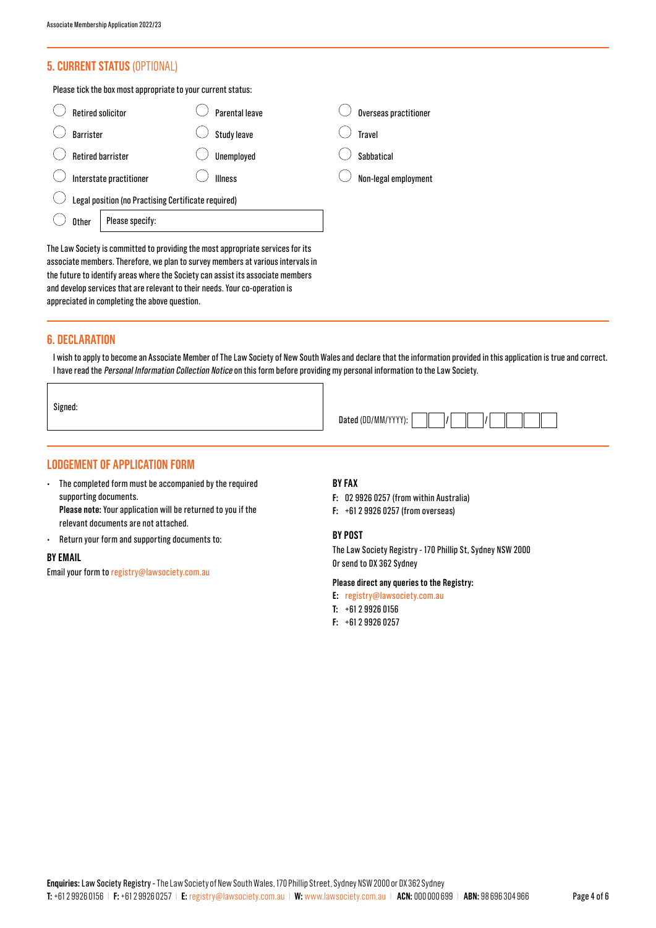## **5. CURRENT STATUS** (OPTIONAL)

Please tick the box most appropriate to your current status:

| <b>Retired solicitor</b>                            | Parental leave     | Overseas practitioner |
|-----------------------------------------------------|--------------------|-----------------------|
| <b>Barrister</b>                                    | <b>Study leave</b> | <b>Travel</b>         |
| <b>Retired barrister</b>                            | Unemployed         | Sahhatical            |
| Interstate practitioner                             | <b>Illness</b>     | Non-legal employment  |
| Legal position (no Practising Certificate required) |                    |                       |
| Please specify:<br>Other                            |                    |                       |
|                                                     |                    |                       |

The Law Society is committed to providing the most appropriate services for its associate members. Therefore, we plan to survey members at various intervals in the future to identify areas where the Society can assist its associate members and develop services that are relevant to their needs. Your co-operation is appreciated in completing the above question.

#### **6. DECLARATION**

 $\sqrt{ }$ 

I wish to apply to become an Associate Member of The Law Society of New South Wales and declare that the information provided in this application is true and correct. I have read the Personal Information Collection Notice on this form before providing my personal information to the Law Society.

| Signed: |                                                                                   |
|---------|-----------------------------------------------------------------------------------|
|         | $\left  \right $ and $\left  \right $ and $\left  \right $<br>Dated (DD/MM/YYYY): |

## **LODGEMENT OF APPLICATION FORM**

- The completed form must be accompanied by the required supporting documents. **Please note:** Your application will be returned to you if the relevant documents are not attached.
- Return your form and supporting documents to:

#### **BY EMAIL**

Email your form to registry@lawsociety.com.au

#### **BY FAX**

- **F:** 02 9926 0257 (from within Australia)
- **F:** +61 2 9926 0257 (from overseas)

#### **BY POST**

The Law Society Registry - 170 Phillip St, Sydney NSW 2000 Or send to DX 362 Sydney

#### **Please direct any queries to the Registry:**

- **E:** registry@lawsociety.com.au
- **T:** +61 2 9926 0156
- **F:** +61 2 9926 0257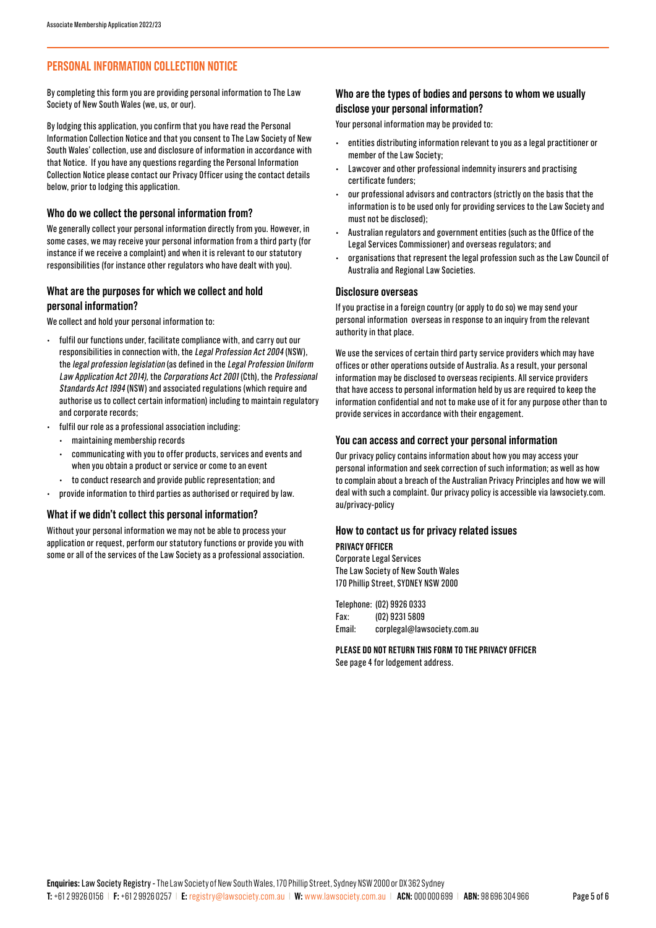## **PERSONAL INFORMATION COLLECTION NOTICE**

By completing this form you are providing personal information to The Law Society of New South Wales (we, us, or our).

By lodging this application, you confirm that you have read the Personal Information Collection Notice and that you consent to The Law Society of New South Wales' collection, use and disclosure of information in accordance with that Notice. If you have any questions regarding the Personal Information Collection Notice please contact our Privacy Officer using the contact details below, prior to lodging this application.

#### **Who do we collect the personal information from?**

We generally collect your personal information directly from you. However, in some cases, we may receive your personal information from a third party (for instance if we receive a complaint) and when it is relevant to our statutory responsibilities (for instance other regulators who have dealt with you).

#### **What are the purposes for which we collect and hold personal information?**

We collect and hold your personal information to:

- fulfil our functions under, facilitate compliance with, and carry out our responsibilities in connection with, the Legal Profession Act 2004 (NSW), the legal profession legislation (as defined in the Legal Profession Uniform Law Application Act 2014), the Corporations Act 2001 (Cth), the Professional Standards Act 1994 (NSW) and associated regulations (which require and authorise us to collect certain information) including to maintain regulatory and corporate records;
- fulfil our role as a professional association including:
	- maintaining membership records
- communicating with you to offer products, services and events and when you obtain a product or service or come to an event
- to conduct research and provide public representation; and
- provide information to third parties as authorised or required by law.

#### **What if we didn't collect this personal information?**

Without your personal information we may not be able to process your application or request, perform our statutory functions or provide you with some or all of the services of the Law Society as a professional association.

#### **Who are the types of bodies and persons to whom we usually disclose your personal information?**

Your personal information may be provided to:

- entities distributing information relevant to you as a legal practitioner or member of the Law Society;
- Lawcover and other professional indemnity insurers and practising certificate funders;
- our professional advisors and contractors (strictly on the basis that the information is to be used only for providing services to the Law Society and must not be disclosed);
- Australian regulators and government entities (such as the Office of the Legal Services Commissioner) and overseas regulators; and
- organisations that represent the legal profession such as the Law Council of Australia and Regional Law Societies.

#### **Disclosure overseas**

If you practise in a foreign country (or apply to do so) we may send your personal information overseas in response to an inquiry from the relevant authority in that place.

We use the services of certain third party service providers which may have offices or other operations outside of Australia. As a result, your personal information may be disclosed to overseas recipients. All service providers that have access to personal information held by us are required to keep the information confidential and not to make use of it for any purpose other than to provide services in accordance with their engagement.

#### **You can access and correct your personal information**

Our privacy policy contains information about how you may access your personal information and seek correction of such information; as well as how to complain about a breach of the Australian Privacy Principles and how we will deal with such a complaint. Our privacy policy is accessible via lawsociety.com. au/privacy-policy

#### **How to contact us for privacy related issues**

#### **PRIVACY OFFICER**

Corporate Legal Services The Law Society of New South Wales 170 Phillip Street, SYDNEY NSW 2000

Telephone: (02) 9926 0333 Fax: (02) 9231 5809 Email: corplegal@lawsociety.com.au

**PLEASE DO NOT RETURN THIS FORM TO THE PRIVACY OFFICER**  See page 4 for lodgement address.